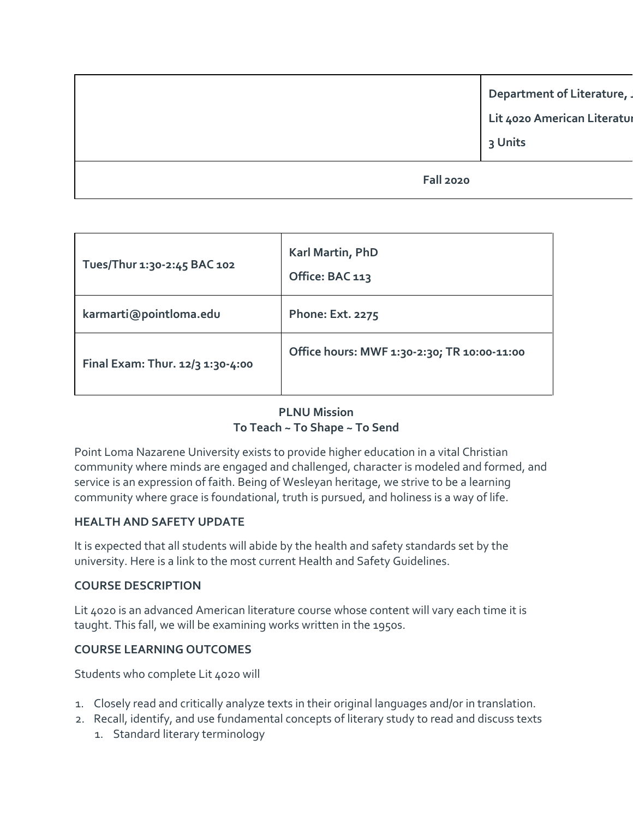**Department of Literature, Lit 4020 American Literatur 3 Units**

**Fall 2020**

| Tues/Thur 1:30-2:45 BAC 102      | Karl Martin, PhD<br>Office: BAC 113         |
|----------------------------------|---------------------------------------------|
| karmarti@pointloma.edu           | <b>Phone: Ext. 2275</b>                     |
| Final Exam: Thur. 12/3 1:30-4:00 | Office hours: MWF 1:30-2:30; TR 10:00-11:00 |

### **PLNU Mission To Teach ~ To Shape ~ To Send**

Point Loma Nazarene University exists to provide higher education in a vital Christian community where minds are engaged and challenged, character is modeled and formed, and service is an expression of faith. Being of Wesleyan heritage, we strive to be a learning community where grace is foundational, truth is pursued, and holiness is a way of life.

#### **HEALTH AND SAFETY UPDATE**

It is expected that all students will abide by the health and safety standards set by the university. Here is a link to the most current Health and Safety Guidelines.

#### **COURSE DESCRIPTION**

Lit 4020 is an advanced American literature course whose content will vary each time it is taught. This fall, we will be examining works written in the 1950s.

## **COURSE LEARNING OUTCOMES**

Students who complete Lit 4020 will

- 1. Closely read and critically analyze texts in their original languages and/or in translation.
- 2. Recall, identify, and use fundamental concepts of literary study to read and discuss texts
	- 1. Standard literary terminology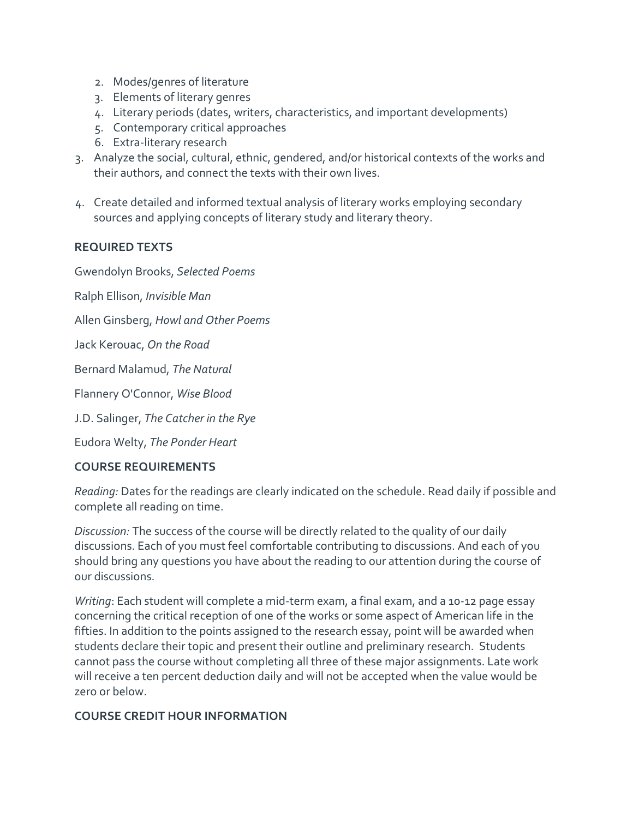- 2. Modes/genres of literature
- 3. Elements of literary genres
- 4. Literary periods (dates, writers, characteristics, and important developments)
- 5. Contemporary critical approaches
- 6. Extra-literary research
- 3. Analyze the social, cultural, ethnic, gendered, and/or historical contexts of the works and their authors, and connect the texts with their own lives.
- 4. Create detailed and informed textual analysis of literary works employing secondary sources and applying concepts of literary study and literary theory.

## **REQUIRED TEXTS**

Gwendolyn Brooks, *Selected Poems*

Ralph Ellison, *Invisible Man*

Allen Ginsberg, *Howl and Other Poems*

Jack Kerouac, *On the Road*

Bernard Malamud, *The Natural*

Flannery O'Connor, *Wise Blood*

J.D. Salinger, *The Catcher in the Rye*

Eudora Welty, *The Ponder Heart*

#### **COURSE REQUIREMENTS**

*Reading:* Dates for the readings are clearly indicated on the schedule. Read daily if possible and complete all reading on time.

*Discussion:* The success of the course will be directly related to the quality of our daily discussions. Each of you must feel comfortable contributing to discussions. And each of you should bring any questions you have about the reading to our attention during the course of our discussions.

*Writing*: Each student will complete a mid-term exam, a final exam, and a 10-12 page essay concerning the critical reception of one of the works or some aspect of American life in the fifties. In addition to the points assigned to the research essay, point will be awarded when students declare their topic and present their outline and preliminary research. Students cannot pass the course without completing all three of these major assignments. Late work will receive a ten percent deduction daily and will not be accepted when the value would be zero or below.

#### **COURSE CREDIT HOUR INFORMATION**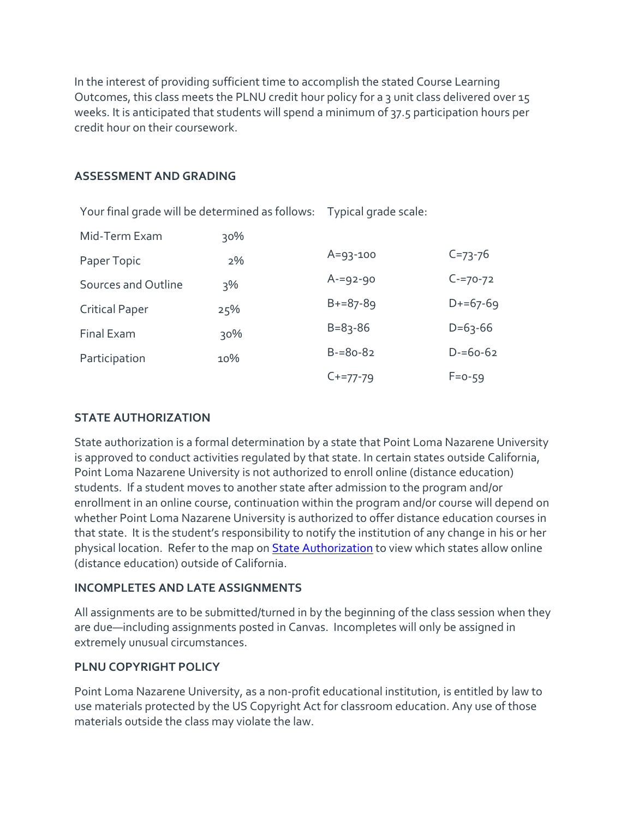In the interest of providing sufficient time to accomplish the stated Course Learning Outcomes, this class meets the PLNU credit hour policy for a 3 unit class delivered over 15 weeks. It is anticipated that students will spend a minimum of 37.5 participation hours per credit hour on their coursework.

#### **ASSESSMENT AND GRADING**

| Your final grade will be determined as follows: Typical grade scale: |        |                |               |
|----------------------------------------------------------------------|--------|----------------|---------------|
| Mid-Term Exam                                                        | $30\%$ |                |               |
| Paper Topic                                                          | 2%     | $A = 93 - 100$ | $C = 73 - 76$ |
| Sources and Outline                                                  | $3\%$  | $A = 92 - 90$  | $C = 70 - 72$ |
| <b>Critical Paper</b>                                                | 25%    | $B+=87-89$     | $D+ = 67-69$  |
| Final Exam                                                           | $30\%$ | $B = 83 - 86$  | $D=63-66$     |
| Participation                                                        | 10%    | $B = 80 - 82$  | $D = 60 - 62$ |
|                                                                      |        | $C+=77-79$     | $F = 0 - 59$  |

#### **STATE AUTHORIZATION**

State authorization is a formal determination by a state that Point Loma Nazarene University is approved to conduct activities regulated by that state. In certain states outside California, Point Loma Nazarene University is not authorized to enroll online (distance education) students. If a student moves to another state after admission to the program and/or enrollment in an online course, continuation within the program and/or course will depend on whether Point Loma Nazarene University is authorized to offer distance education courses in that state. It is the student's responsibility to notify the institution of any change in his or her physical location. Refer to the map on [State Authorization](https://www.pointloma.edu/offices/office-institutional-effectiveness-research/disclosures) to view which states allow online (distance education) outside of California.

#### **INCOMPLETES AND LATE ASSIGNMENTS**

All assignments are to be submitted/turned in by the beginning of the class session when they are due—including assignments posted in Canvas. Incompletes will only be assigned in extremely unusual circumstances.

#### **PLNU COPYRIGHT POLICY**

Point Loma Nazarene University, as a non-profit educational institution, is entitled by law to use materials protected by the US Copyright Act for classroom education. Any use of those materials outside the class may violate the law.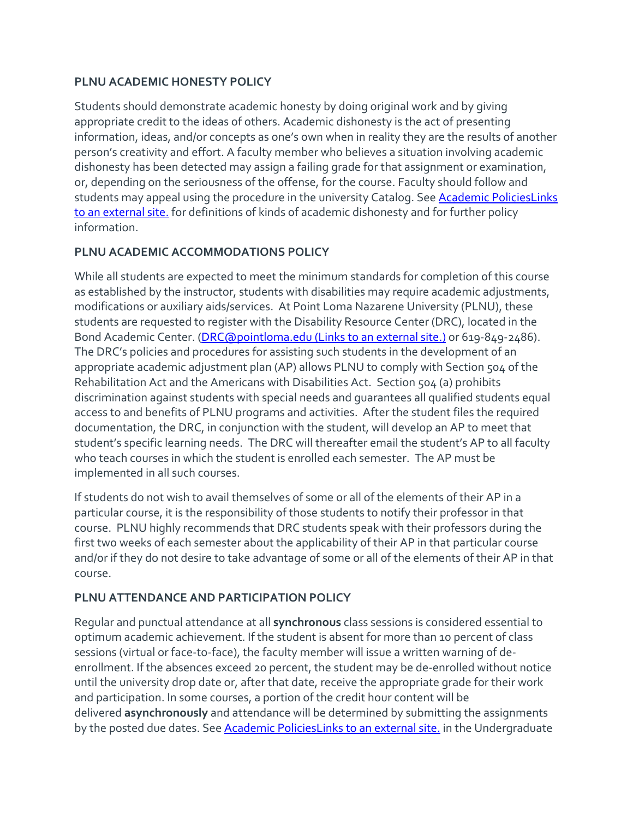## **PLNU ACADEMIC HONESTY POLICY**

Students should demonstrate academic honesty by doing original work and by giving appropriate credit to the ideas of others. Academic dishonesty is the act of presenting information, ideas, and/or concepts as one's own when in reality they are the results of another person's creativity and effort. A faculty member who believes a situation involving academic dishonesty has been detected may assign a failing grade for that assignment or examination, or, depending on the seriousness of the offense, for the course. Faculty should follow and students may appeal using the procedure in the university Catalog. See [Academic PoliciesLinks](http://catalog.pointloma.edu/content.php?catoid=18&navoid=1278) to an [external](http://catalog.pointloma.edu/content.php?catoid=18&navoid=1278) site. for definitions of kinds of academic dishonesty and for further policy information.

## **PLNU ACADEMIC ACCOMMODATIONS POLICY**

While all students are expected to meet the minimum standards for completion of this course as established by the instructor, students with disabilities may require academic adjustments, modifications or auxiliary aids/services. At Point Loma Nazarene University (PLNU), these students are requested to register with the Disability Resource Center (DRC), located in the Bond Academic Center. [\(DRC@pointloma.edu](https://mail.google.com/mail/?view=cm&fs=1&tf=1&to=DRC@pointloma.edu) (Links to an external site.) or 619-849-2486). The DRC's policies and procedures for assisting such students in the development of an appropriate academic adjustment plan (AP) allows PLNU to comply with Section 504 of the Rehabilitation Act and the Americans with Disabilities Act. Section 504 (a) prohibits discrimination against students with special needs and guarantees all qualified students equal access to and benefits of PLNU programs and activities. After the student files the required documentation, the DRC, in conjunction with the student, will develop an AP to meet that student's specific learning needs. The DRC will thereafter email the student's AP to all faculty who teach courses in which the student is enrolled each semester. The AP must be implemented in all such courses.

If students do not wish to avail themselves of some or all of the elements of their AP in a particular course, it is the responsibility of those students to notify their professor in that course. PLNU highly recommends that DRC students speak with their professors during the first two weeks of each semester about the applicability of their AP in that particular course and/or if they do not desire to take advantage of some or all of the elements of their AP in that course.

## **PLNU ATTENDANCE AND PARTICIPATION POLICY**

Regular and punctual attendance at all **synchronous** class sessions is considered essential to optimum academic achievement. If the student is absent for more than 10 percent of class sessions (virtual or face-to-face), the faculty member will issue a written warning of deenrollment. If the absences exceed 20 percent, the student may be de-enrolled without notice until the university drop date or, after that date, receive the appropriate grade for their work and participation. In some courses, a portion of the credit hour content will be delivered **asynchronously** and attendance will be determined by submitting the assignments by the posted due dates. See [Academic PoliciesLinks](https://catalog.pointloma.edu/content.php?catoid=46&navoid=2650#Class_Attendance) to an external site. in the Undergraduate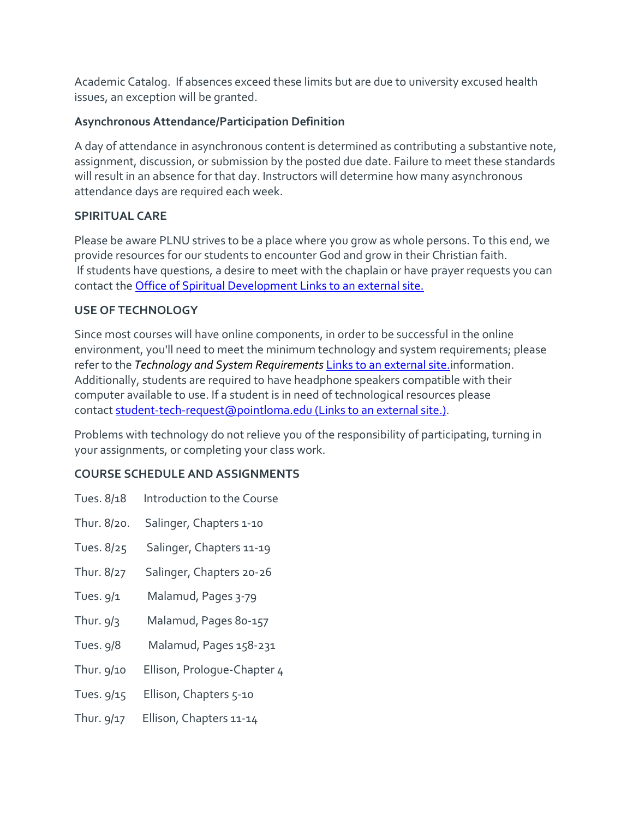Academic Catalog. If absences exceed these limits but are due to university excused health issues, an exception will be granted.

## **Asynchronous Attendance/Participation Definition**

A day of attendance in asynchronous content is determined as contributing a substantive note, assignment, discussion, or submission by the posted due date. Failure to meet these standards will result in an absence for that day. Instructors will determine how many asynchronous attendance days are required each week.

## **SPIRITUAL CARE**

Please be aware PLNU strives to be a place where you grow as whole persons. To this end, we provide resources for our students to encounter God and grow in their Christian faith. If students have questions, a desire to meet with the chaplain or have prayer requests you can contact the [Office of Spiritual Development](https://www.pointloma.edu/offices/spiritual-development) Links to an external site.

## **USE OF TECHNOLOGY**

Since most courses will have online components, in order to be successful in the online environment, you'll need to meet the minimum technology and system requirements; please refer to the *[Technology and System Requirements](https://help.pointloma.edu/TDClient/1808/Portal/KB/ArticleDet?ID=108349)* Links to an external site.information. Additionally, students are required to have headphone speakers compatible with their computer available to use. If a student is in need of technological resources please contact [student-tech-request@pointloma.edu](https://mail.google.com/mail/?view=cm&fs=1&tf=1&to=student-tech-request@pointloma.edu) (Links to an external site.).

Problems with technology do not relieve you of the responsibility of participating, turning in your assignments, or completing your class work.

# **COURSE SCHEDULE AND ASSIGNMENTS**

| Thur. 8/20.<br>Salinger, Chapters 1-10     |
|--------------------------------------------|
|                                            |
| Tues. 8/25<br>Salinger, Chapters 11-19     |
| Salinger, Chapters 20-26<br>Thur. 8/27     |
| Tues. $9/1$<br>Malamud, Pages 3-79         |
| Thur. $9/3$<br>Malamud, Pages 80-157       |
| <b>Tues. 9/8</b><br>Malamud, Pages 158-231 |
| Thur. 9/10<br>Ellison, Prologue-Chapter 4  |
| Tues. 9/15<br>Ellison, Chapters 5-10       |
| Thur. 9/17<br>Ellison, Chapters 11-14      |
|                                            |